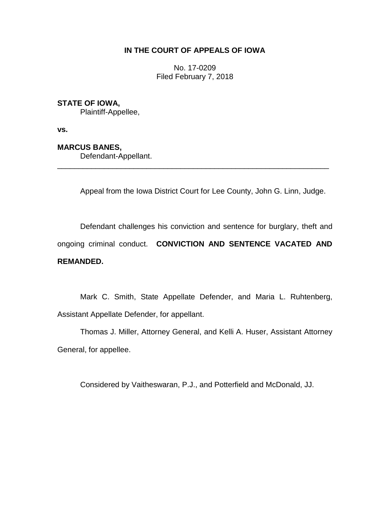## **IN THE COURT OF APPEALS OF IOWA**

No. 17-0209 Filed February 7, 2018

## **STATE OF IOWA,**

Plaintiff-Appellee,

**vs.**

### **MARCUS BANES,**

Defendant-Appellant.

Appeal from the Iowa District Court for Lee County, John G. Linn, Judge.

\_\_\_\_\_\_\_\_\_\_\_\_\_\_\_\_\_\_\_\_\_\_\_\_\_\_\_\_\_\_\_\_\_\_\_\_\_\_\_\_\_\_\_\_\_\_\_\_\_\_\_\_\_\_\_\_\_\_\_\_\_\_\_\_

Defendant challenges his conviction and sentence for burglary, theft and ongoing criminal conduct. **CONVICTION AND SENTENCE VACATED AND REMANDED.** 

Mark C. Smith, State Appellate Defender, and Maria L. Ruhtenberg, Assistant Appellate Defender, for appellant.

Thomas J. Miller, Attorney General, and Kelli A. Huser, Assistant Attorney General, for appellee.

Considered by Vaitheswaran, P.J., and Potterfield and McDonald, JJ.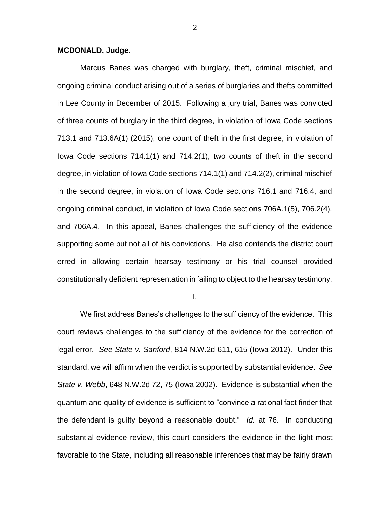#### **MCDONALD, Judge.**

Marcus Banes was charged with burglary, theft, criminal mischief, and ongoing criminal conduct arising out of a series of burglaries and thefts committed in Lee County in December of 2015. Following a jury trial, Banes was convicted of three counts of burglary in the third degree, in violation of Iowa Code sections 713.1 and 713.6A(1) (2015), one count of theft in the first degree, in violation of Iowa Code sections 714.1(1) and 714.2(1), two counts of theft in the second degree, in violation of Iowa Code sections 714.1(1) and 714.2(2), criminal mischief in the second degree, in violation of Iowa Code sections 716.1 and 716.4, and ongoing criminal conduct, in violation of Iowa Code sections 706A.1(5), 706.2(4), and 706A.4. In this appeal, Banes challenges the sufficiency of the evidence supporting some but not all of his convictions. He also contends the district court erred in allowing certain hearsay testimony or his trial counsel provided constitutionally deficient representation in failing to object to the hearsay testimony.

I.

We first address Banes's challenges to the sufficiency of the evidence. This court reviews challenges to the sufficiency of the evidence for the correction of legal error. *See State v. Sanford*, 814 N.W.2d 611, 615 (Iowa 2012). Under this standard, we will affirm when the verdict is supported by substantial evidence. *See State v. Webb*, 648 N.W.2d 72, 75 (Iowa 2002). Evidence is substantial when the quantum and quality of evidence is sufficient to "convince a rational fact finder that the defendant is guilty beyond a reasonable doubt." *Id.* at 76. In conducting substantial-evidence review, this court considers the evidence in the light most favorable to the State, including all reasonable inferences that may be fairly drawn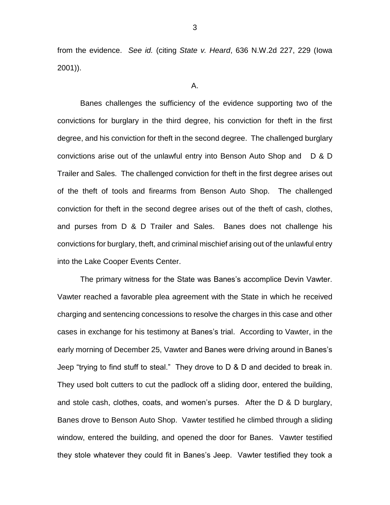from the evidence. *See id.* (citing *State v. Heard*, 636 N.W.2d 227, 229 (Iowa 2001)).

A.

Banes challenges the sufficiency of the evidence supporting two of the convictions for burglary in the third degree, his conviction for theft in the first degree, and his conviction for theft in the second degree. The challenged burglary convictions arise out of the unlawful entry into Benson Auto Shop and D & D Trailer and Sales. The challenged conviction for theft in the first degree arises out of the theft of tools and firearms from Benson Auto Shop. The challenged conviction for theft in the second degree arises out of the theft of cash, clothes, and purses from D & D Trailer and Sales. Banes does not challenge his convictions for burglary, theft, and criminal mischief arising out of the unlawful entry into the Lake Cooper Events Center.

The primary witness for the State was Banes's accomplice Devin Vawter. Vawter reached a favorable plea agreement with the State in which he received charging and sentencing concessions to resolve the charges in this case and other cases in exchange for his testimony at Banes's trial. According to Vawter, in the early morning of December 25, Vawter and Banes were driving around in Banes's Jeep "trying to find stuff to steal." They drove to D & D and decided to break in. They used bolt cutters to cut the padlock off a sliding door, entered the building, and stole cash, clothes, coats, and women's purses. After the D & D burglary, Banes drove to Benson Auto Shop. Vawter testified he climbed through a sliding window, entered the building, and opened the door for Banes. Vawter testified they stole whatever they could fit in Banes's Jeep. Vawter testified they took a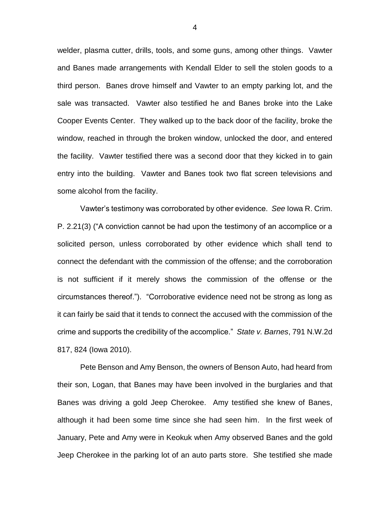welder, plasma cutter, drills, tools, and some guns, among other things. Vawter and Banes made arrangements with Kendall Elder to sell the stolen goods to a third person. Banes drove himself and Vawter to an empty parking lot, and the sale was transacted. Vawter also testified he and Banes broke into the Lake Cooper Events Center. They walked up to the back door of the facility, broke the window, reached in through the broken window, unlocked the door, and entered the facility. Vawter testified there was a second door that they kicked in to gain entry into the building. Vawter and Banes took two flat screen televisions and some alcohol from the facility.

Vawter's testimony was corroborated by other evidence. *See* Iowa R. Crim. P. 2.21(3) ("A conviction cannot be had upon the testimony of an accomplice or a solicited person, unless corroborated by other evidence which shall tend to connect the defendant with the commission of the offense; and the corroboration is not sufficient if it merely shows the commission of the offense or the circumstances thereof."). "Corroborative evidence need not be strong as long as it can fairly be said that it tends to connect the accused with the commission of the crime and supports the credibility of the accomplice." *State v. Barnes*, 791 N.W.2d 817, 824 (Iowa 2010).

Pete Benson and Amy Benson, the owners of Benson Auto, had heard from their son, Logan, that Banes may have been involved in the burglaries and that Banes was driving a gold Jeep Cherokee. Amy testified she knew of Banes, although it had been some time since she had seen him. In the first week of January, Pete and Amy were in Keokuk when Amy observed Banes and the gold Jeep Cherokee in the parking lot of an auto parts store. She testified she made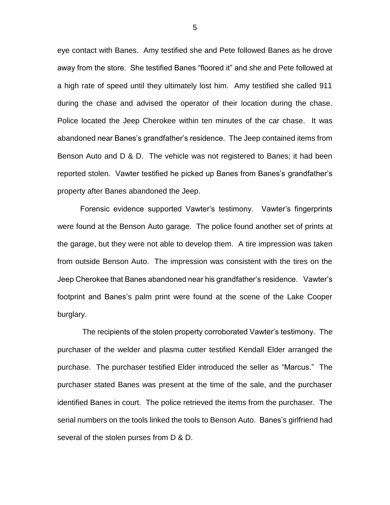eye contact with Banes. Amy testified she and Pete followed Banes as he drove away from the store. She testified Banes "floored it" and she and Pete followed at a high rate of speed until they ultimately lost him. Amy testified she called 911 during the chase and advised the operator of their location during the chase. Police located the Jeep Cherokee within ten minutes of the car chase. It was abandoned near Banes's grandfather's residence. The Jeep contained items from Benson Auto and D & D. The vehicle was not registered to Banes; it had been reported stolen. Vawter testified he picked up Banes from Banes's grandfather's property after Banes abandoned the Jeep.

Forensic evidence supported Vawter's testimony. Vawter's fingerprints were found at the Benson Auto garage. The police found another set of prints at the garage, but they were not able to develop them. A tire impression was taken from outside Benson Auto. The impression was consistent with the tires on the Jeep Cherokee that Banes abandoned near his grandfather's residence. Vawter's footprint and Banes's palm print were found at the scene of the Lake Cooper burglary.

The recipients of the stolen property corroborated Vawter's testimony. The purchaser of the welder and plasma cutter testified Kendall Elder arranged the purchase. The purchaser testified Elder introduced the seller as "Marcus." The purchaser stated Banes was present at the time of the sale, and the purchaser identified Banes in court. The police retrieved the items from the purchaser. The serial numbers on the tools linked the tools to Benson Auto. Banes's girlfriend had several of the stolen purses from D & D.

5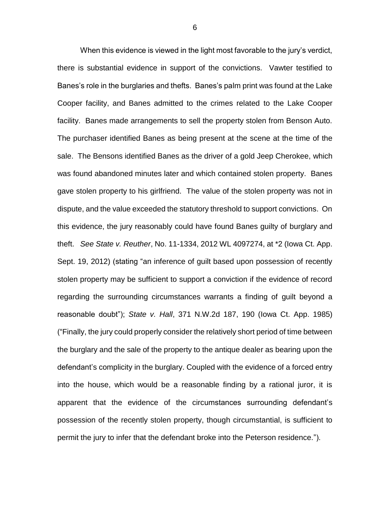When this evidence is viewed in the light most favorable to the jury's verdict, there is substantial evidence in support of the convictions. Vawter testified to Banes's role in the burglaries and thefts. Banes's palm print was found at the Lake Cooper facility, and Banes admitted to the crimes related to the Lake Cooper facility. Banes made arrangements to sell the property stolen from Benson Auto. The purchaser identified Banes as being present at the scene at the time of the sale. The Bensons identified Banes as the driver of a gold Jeep Cherokee, which was found abandoned minutes later and which contained stolen property. Banes gave stolen property to his girlfriend. The value of the stolen property was not in dispute, and the value exceeded the statutory threshold to support convictions. On this evidence, the jury reasonably could have found Banes guilty of burglary and theft. *See State v. Reuther*, No. 11-1334, 2012 WL 4097274, at \*2 (Iowa Ct. App. Sept. 19, 2012) (stating "an inference of guilt based upon possession of recently stolen property may be sufficient to support a conviction if the evidence of record regarding the surrounding circumstances warrants a finding of guilt beyond a reasonable doubt"); *State v. Hall*, 371 N.W.2d 187, 190 (Iowa Ct. App. 1985) ("Finally, the jury could properly consider the relatively short period of time between the burglary and the sale of the property to the antique dealer as bearing upon the defendant's complicity in the burglary. Coupled with the evidence of a forced entry into the house, which would be a reasonable finding by a rational juror, it is apparent that the evidence of the circumstances surrounding defendant's possession of the recently stolen property, though circumstantial, is sufficient to permit the jury to infer that the defendant broke into the Peterson residence.").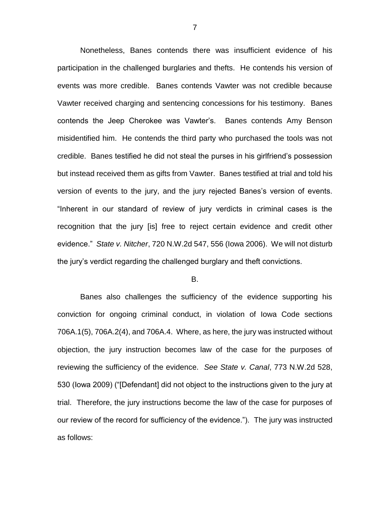Nonetheless, Banes contends there was insufficient evidence of his participation in the challenged burglaries and thefts. He contends his version of events was more credible. Banes contends Vawter was not credible because Vawter received charging and sentencing concessions for his testimony. Banes contends the Jeep Cherokee was Vawter's. Banes contends Amy Benson misidentified him. He contends the third party who purchased the tools was not credible. Banes testified he did not steal the purses in his girlfriend's possession but instead received them as gifts from Vawter. Banes testified at trial and told his version of events to the jury, and the jury rejected Banes's version of events. "Inherent in our standard of review of jury verdicts in criminal cases is the recognition that the jury [is] free to reject certain evidence and credit other evidence." *State v. Nitcher*, 720 N.W.2d 547, 556 (Iowa 2006). We will not disturb the jury's verdict regarding the challenged burglary and theft convictions.

#### B.

Banes also challenges the sufficiency of the evidence supporting his conviction for ongoing criminal conduct, in violation of Iowa Code sections 706A.1(5), 706A.2(4), and 706A.4. Where, as here, the jury was instructed without objection, the jury instruction becomes law of the case for the purposes of reviewing the sufficiency of the evidence. *See State v. Canal*, 773 N.W.2d 528, 530 (Iowa 2009) ("[Defendant] did not object to the instructions given to the jury at trial. Therefore, the jury instructions become the law of the case for purposes of our review of the record for sufficiency of the evidence."). The jury was instructed as follows: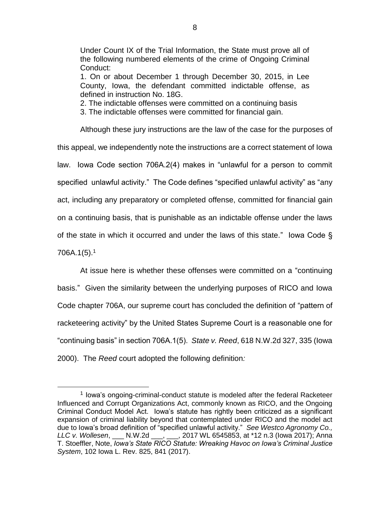Under Count IX of the Trial Information, the State must prove all of the following numbered elements of the crime of Ongoing Criminal Conduct:

1. On or about December 1 through December 30, 2015, in Lee County, Iowa, the defendant committed indictable offense, as defined in instruction No. 18G.

2. The indictable offenses were committed on a continuing basis

3. The indictable offenses were committed for financial gain.

Although these jury instructions are the law of the case for the purposes of this appeal, we independently note the instructions are a correct statement of Iowa law. Iowa Code section 706A.2(4) makes in "unlawful for a person to commit specified unlawful activity." The Code defines "specified unlawful activity" as "any act, including any preparatory or completed offense, committed for financial gain on a continuing basis, that is punishable as an indictable offense under the laws of the state in which it occurred and under the laws of this state." Iowa Code § 706A.1(5).<sup>1</sup>

At issue here is whether these offenses were committed on a "continuing basis." Given the similarity between the underlying purposes of RICO and Iowa Code chapter 706A, our supreme court has concluded the definition of "pattern of racketeering activity" by the United States Supreme Court is a reasonable one for "continuing basis" in section 706A.1(5). *State v. Reed*, 618 N.W.2d 327, 335 (Iowa 2000). The *Reed* court adopted the following definition*:*

 $\overline{a}$ 

<sup>&</sup>lt;sup>1</sup> lowa's ongoing-criminal-conduct statute is modeled after the federal Racketeer Influenced and Corrupt Organizations Act, commonly known as RICO, and the Ongoing Criminal Conduct Model Act. Iowa's statute has rightly been criticized as a significant expansion of criminal liability beyond that contemplated under RICO and the model act due to Iowa's broad definition of "specified unlawful activity." *See Westco Agronomy Co., LLC v. Wollesen*, \_\_\_ N.W.2d \_\_\_, \_\_\_, 2017 WL 6545853, at \*12 n.3 (Iowa 2017); Anna T. Stoeffler, Note, *Iowa's State RICO Statute: Wreaking Havoc on Iowa's Criminal Justice System*, 102 Iowa L. Rev. 825, 841 (2017).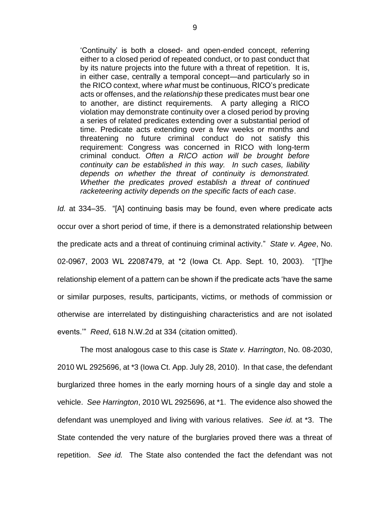'Continuity' is both a closed- and open-ended concept, referring either to a closed period of repeated conduct, or to past conduct that by its nature projects into the future with a threat of repetition. It is, in either case, centrally a temporal concept—and particularly so in the RICO context, where *what* must be continuous, RICO's predicate acts or offenses, and the *relationship* these predicates must bear one to another, are distinct requirements. A party alleging a RICO violation may demonstrate continuity over a closed period by proving a series of related predicates extending over a substantial period of time. Predicate acts extending over a few weeks or months and threatening no future criminal conduct do not satisfy this requirement: Congress was concerned in RICO with long-term criminal conduct. *Often a RICO action will be brought before continuity can be established in this way. In such cases, liability depends on whether the threat of continuity is demonstrated. Whether the predicates proved establish a threat of continued racketeering activity depends on the specific facts of each case*.

*Id.* at 334–35. "[A] continuing basis may be found, even where predicate acts occur over a short period of time, if there is a demonstrated relationship between the predicate acts and a threat of continuing criminal activity." *State v. Agee*, No. 02-0967, 2003 WL 22087479, at \*2 (Iowa Ct. App. Sept. 10, 2003). "[T]he relationship element of a pattern can be shown if the predicate acts 'have the same or similar purposes, results, participants, victims, or methods of commission or otherwise are interrelated by distinguishing characteristics and are not isolated events.'" *Reed*, 618 N.W.2d at 334 (citation omitted).

The most analogous case to this case is *State v. Harrington*, No. 08-2030, 2010 WL 2925696, at \*3 (Iowa Ct. App. July 28, 2010). In that case, the defendant burglarized three homes in the early morning hours of a single day and stole a vehicle. *See Harrington*, 2010 WL 2925696, at \*1. The evidence also showed the defendant was unemployed and living with various relatives. *See id.* at \*3. The State contended the very nature of the burglaries proved there was a threat of repetition. *See id.* The State also contended the fact the defendant was not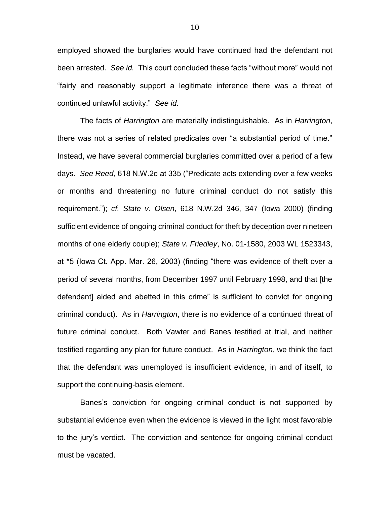employed showed the burglaries would have continued had the defendant not been arrested. *See id.* This court concluded these facts "without more" would not "fairly and reasonably support a legitimate inference there was a threat of continued unlawful activity." *See id.*

The facts of *Harrington* are materially indistinguishable. As in *Harrington*, there was not a series of related predicates over "a substantial period of time." Instead, we have several commercial burglaries committed over a period of a few days. *See Reed*, 618 N.W.2d at 335 ("Predicate acts extending over a few weeks or months and threatening no future criminal conduct do not satisfy this requirement."); *cf. State v. Olsen*, 618 N.W.2d 346, 347 (Iowa 2000) (finding sufficient evidence of ongoing criminal conduct for theft by deception over nineteen months of one elderly couple); *State v. Friedley*, No. 01-1580, 2003 WL 1523343, at \*5 (Iowa Ct. App. Mar. 26, 2003) (finding "there was evidence of theft over a period of several months, from December 1997 until February 1998, and that [the defendant] aided and abetted in this crime" is sufficient to convict for ongoing criminal conduct). As in *Harrington*, there is no evidence of a continued threat of future criminal conduct. Both Vawter and Banes testified at trial, and neither testified regarding any plan for future conduct. As in *Harrington*, we think the fact that the defendant was unemployed is insufficient evidence, in and of itself, to support the continuing-basis element.

Banes's conviction for ongoing criminal conduct is not supported by substantial evidence even when the evidence is viewed in the light most favorable to the jury's verdict. The conviction and sentence for ongoing criminal conduct must be vacated.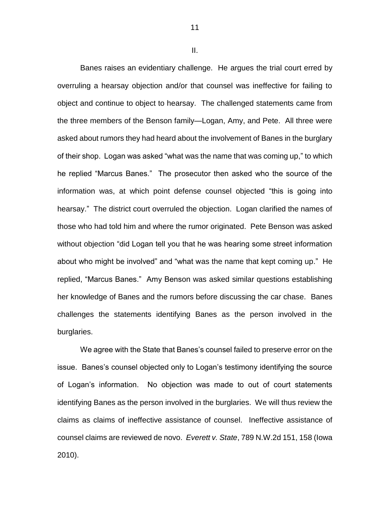II.

11

Banes raises an evidentiary challenge. He argues the trial court erred by overruling a hearsay objection and/or that counsel was ineffective for failing to object and continue to object to hearsay. The challenged statements came from the three members of the Benson family—Logan, Amy, and Pete. All three were asked about rumors they had heard about the involvement of Banes in the burglary of their shop. Logan was asked "what was the name that was coming up," to which he replied "Marcus Banes." The prosecutor then asked who the source of the information was, at which point defense counsel objected "this is going into hearsay." The district court overruled the objection. Logan clarified the names of those who had told him and where the rumor originated. Pete Benson was asked without objection "did Logan tell you that he was hearing some street information about who might be involved" and "what was the name that kept coming up." He replied, "Marcus Banes." Amy Benson was asked similar questions establishing her knowledge of Banes and the rumors before discussing the car chase. Banes challenges the statements identifying Banes as the person involved in the burglaries.

We agree with the State that Banes's counsel failed to preserve error on the issue. Banes's counsel objected only to Logan's testimony identifying the source of Logan's information. No objection was made to out of court statements identifying Banes as the person involved in the burglaries. We will thus review the claims as claims of ineffective assistance of counsel. Ineffective assistance of counsel claims are reviewed de novo. *Everett v. State*, 789 N.W.2d 151, 158 (Iowa 2010).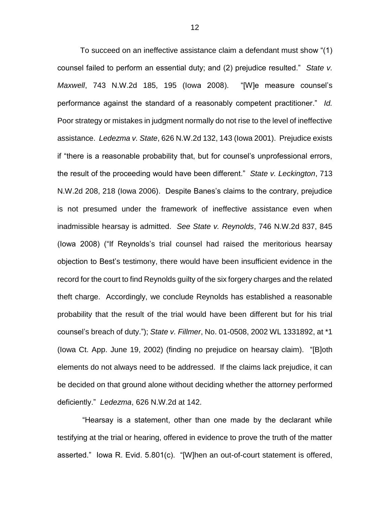To succeed on an ineffective assistance claim a defendant must show "(1) counsel failed to perform an essential duty; and (2) prejudice resulted." *State v. Maxwell*, 743 N.W.2d 185, 195 (Iowa 2008). "[W]e measure counsel's performance against the standard of a reasonably competent practitioner." *Id.* Poor strategy or mistakes in judgment normally do not rise to the level of ineffective assistance. *Ledezma v. State*, 626 N.W.2d 132, 143 (Iowa 2001). Prejudice exists if "there is a reasonable probability that, but for counsel's unprofessional errors, the result of the proceeding would have been different." *State v. Leckington*, 713 N.W.2d 208, 218 (Iowa 2006). Despite Banes's claims to the contrary, prejudice is not presumed under the framework of ineffective assistance even when inadmissible hearsay is admitted. *See State v. Reynolds*, 746 N.W.2d 837, 845 (Iowa 2008) ("If Reynolds's trial counsel had raised the meritorious hearsay objection to Best's testimony, there would have been insufficient evidence in the record for the court to find Reynolds guilty of the six forgery charges and the related theft charge. Accordingly, we conclude Reynolds has established a reasonable probability that the result of the trial would have been different but for his trial counsel's breach of duty."); *State v. Fillmer*, No. 01-0508, 2002 WL 1331892, at \*1 (Iowa Ct. App. June 19, 2002) (finding no prejudice on hearsay claim). "[B]oth elements do not always need to be addressed. If the claims lack prejudice, it can be decided on that ground alone without deciding whether the attorney performed deficiently." *Ledezma*, 626 N.W.2d at 142.

"Hearsay is a statement, other than one made by the declarant while testifying at the trial or hearing, offered in evidence to prove the truth of the matter asserted." Iowa R. Evid. 5.801(c). "[W]hen an out-of-court statement is offered,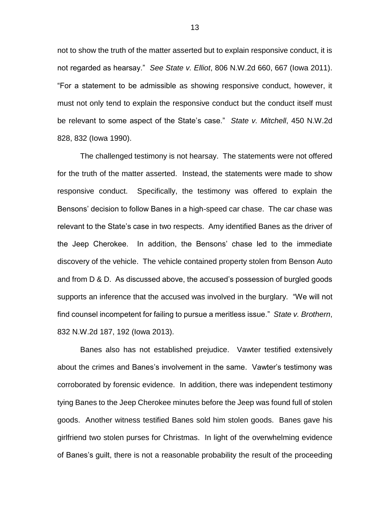not to show the truth of the matter asserted but to explain responsive conduct, it is not regarded as hearsay." *See State v. Elliot*, 806 N.W.2d 660, 667 (Iowa 2011). "For a statement to be admissible as showing responsive conduct, however, it must not only tend to explain the responsive conduct but the conduct itself must be relevant to some aspect of the State's case." *State v. Mitchell*, 450 N.W.2d 828, 832 (Iowa 1990).

The challenged testimony is not hearsay. The statements were not offered for the truth of the matter asserted. Instead, the statements were made to show responsive conduct. Specifically, the testimony was offered to explain the Bensons' decision to follow Banes in a high-speed car chase. The car chase was relevant to the State's case in two respects. Amy identified Banes as the driver of the Jeep Cherokee. In addition, the Bensons' chase led to the immediate discovery of the vehicle. The vehicle contained property stolen from Benson Auto and from D & D. As discussed above, the accused's possession of burgled goods supports an inference that the accused was involved in the burglary. "We will not find counsel incompetent for failing to pursue a meritless issue." *State v. Brothern*, 832 N.W.2d 187, 192 (Iowa 2013).

Banes also has not established prejudice. Vawter testified extensively about the crimes and Banes's involvement in the same. Vawter's testimony was corroborated by forensic evidence. In addition, there was independent testimony tying Banes to the Jeep Cherokee minutes before the Jeep was found full of stolen goods. Another witness testified Banes sold him stolen goods. Banes gave his girlfriend two stolen purses for Christmas. In light of the overwhelming evidence of Banes's guilt, there is not a reasonable probability the result of the proceeding